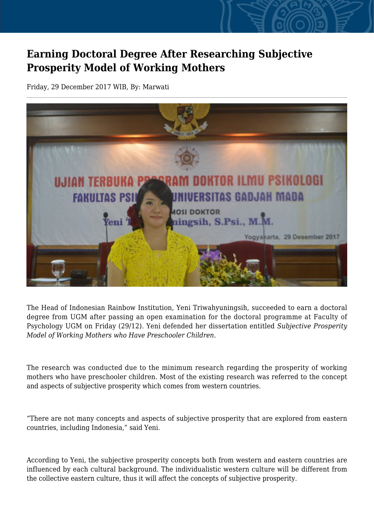## **Earning Doctoral Degree After Researching Subjective Prosperity Model of Working Mothers**

Friday, 29 December 2017 WIB, By: Marwati



The Head of Indonesian Rainbow Institution, Yeni Triwahyuningsih, succeeded to earn a doctoral degree from UGM after passing an open examination for the doctoral programme at Faculty of Psychology UGM on Friday (29/12). Yeni defended her dissertation entitled *Subjective Prosperity Model of Working Mothers who Have Preschooler Children.*

The research was conducted due to the minimum research regarding the prosperity of working mothers who have preschooler children. Most of the existing research was referred to the concept and aspects of subjective prosperity which comes from western countries.

"There are not many concepts and aspects of subjective prosperity that are explored from eastern countries, including Indonesia," said Yeni.

According to Yeni, the subjective prosperity concepts both from western and eastern countries are influenced by each cultural background. The individualistic western culture will be different from the collective eastern culture, thus it will affect the concepts of subjective prosperity.